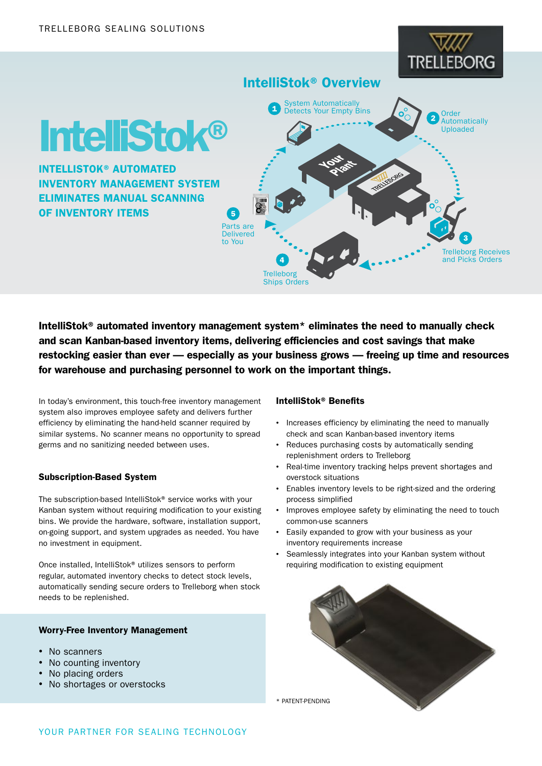# trei **BORG**

# IntelliStok® Overview



INTELLISTOK® AUTOMATED INVENTORY MANAGEMENT SYSTEM ELIMINATES MANUAL SCANNING OF INVENTORY ITEMS



IntelliStok® automated inventory management system\* eliminates the need to manually check and scan Kanban-based inventory items, delivering efficiencies and cost savings that make restocking easier than ever — especially as your business grows — freeing up time and resources for warehouse and purchasing personnel to work on the important things.

 $\overline{5}$ 

In today's environment, this touch-free inventory management system also improves employee safety and delivers further efficiency by eliminating the hand-held scanner required by similar systems. No scanner means no opportunity to spread germs and no sanitizing needed between uses.

## Subscription-Based System

The subscription-based IntelliStok® service works with your Kanban system without requiring modification to your existing bins. We provide the hardware, software, installation support, on-going support, and system upgrades as needed. You have no investment in equipment.

Once installed, IntelliStok® utilizes sensors to perform regular, automated inventory checks to detect stock levels, automatically sending secure orders to Trelleborg when stock needs to be replenished.

#### Worry-Free Inventory Management

- No scanners
- No counting inventory
- No placing orders
- No shortages or overstocks

#### IntelliStok® Benefits

- Increases efficiency by eliminating the need to manually check and scan Kanban-based inventory items
- Reduces purchasing costs by automatically sending replenishment orders to Trelleborg
- Real-time inventory tracking helps prevent shortages and overstock situations
- Enables inventory levels to be right-sized and the ordering process simplified
- Improves employee safety by eliminating the need to touch common-use scanners
- Easily expanded to grow with your business as your inventory requirements increase
- Seamlessly integrates into your Kanban system without requiring modification to existing equipment